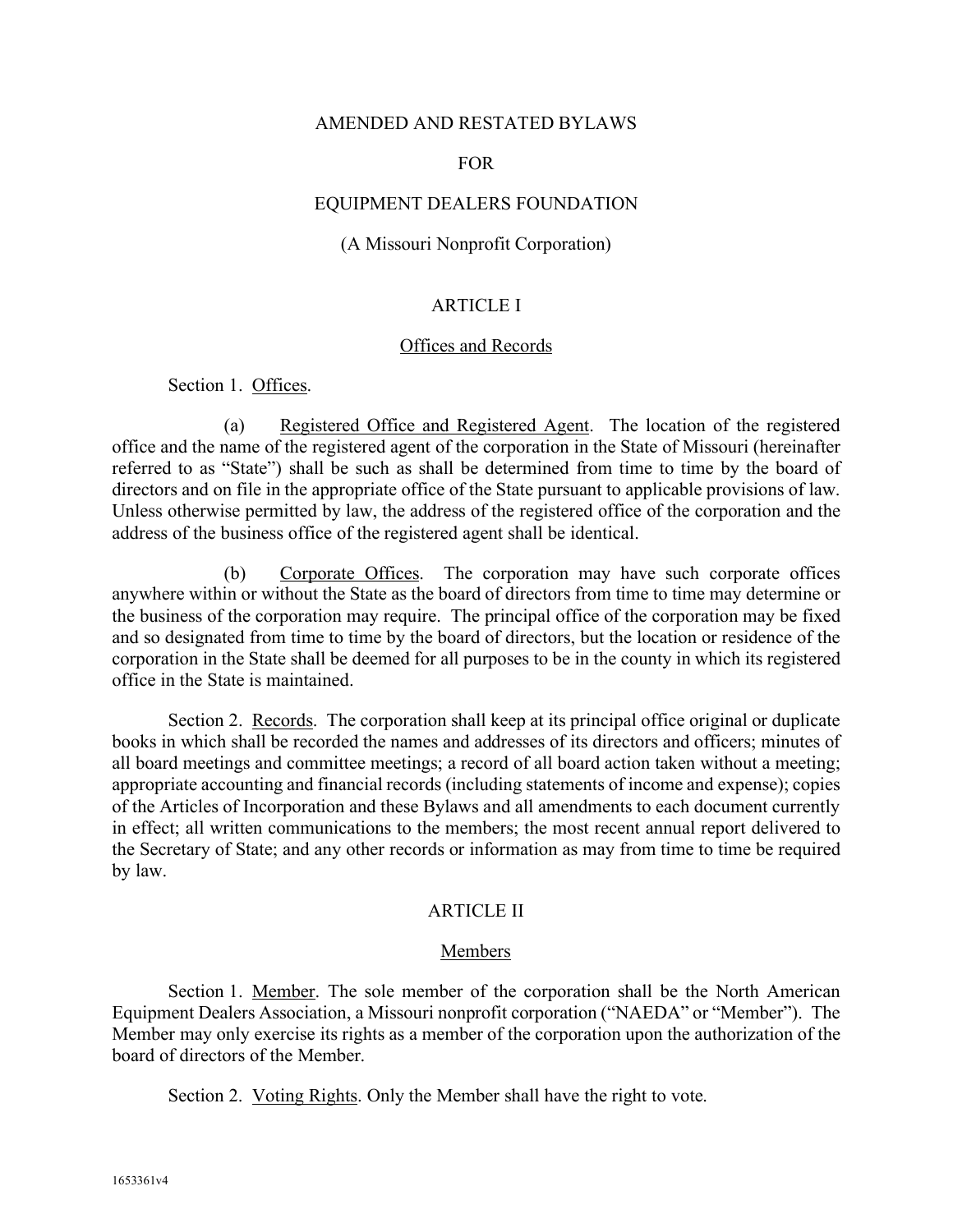### AMENDED AND RESTATED BYLAWS

#### FOR

### EQUIPMENT DEALERS FOUNDATION

### (A Missouri Nonprofit Corporation)

### ARTICLE I

#### Offices and Records

Section 1. Offices.

(a) Registered Office and Registered Agent. The location of the registered office and the name of the registered agent of the corporation in the State of Missouri (hereinafter referred to as "State") shall be such as shall be determined from time to time by the board of directors and on file in the appropriate office of the State pursuant to applicable provisions of law. Unless otherwise permitted by law, the address of the registered office of the corporation and the address of the business office of the registered agent shall be identical.

(b) Corporate Offices. The corporation may have such corporate offices anywhere within or without the State as the board of directors from time to time may determine or the business of the corporation may require. The principal office of the corporation may be fixed and so designated from time to time by the board of directors, but the location or residence of the corporation in the State shall be deemed for all purposes to be in the county in which its registered office in the State is maintained.

Section 2. Records. The corporation shall keep at its principal office original or duplicate books in which shall be recorded the names and addresses of its directors and officers; minutes of all board meetings and committee meetings; a record of all board action taken without a meeting; appropriate accounting and financial records (including statements of income and expense); copies of the Articles of Incorporation and these Bylaws and all amendments to each document currently in effect; all written communications to the members; the most recent annual report delivered to the Secretary of State; and any other records or information as may from time to time be required by law.

### ARTICLE II

#### Members

Section 1. Member. The sole member of the corporation shall be the North American Equipment Dealers Association, a Missouri nonprofit corporation ("NAEDA" or "Member"). The Member may only exercise its rights as a member of the corporation upon the authorization of the board of directors of the Member.

Section 2. Voting Rights. Only the Member shall have the right to vote.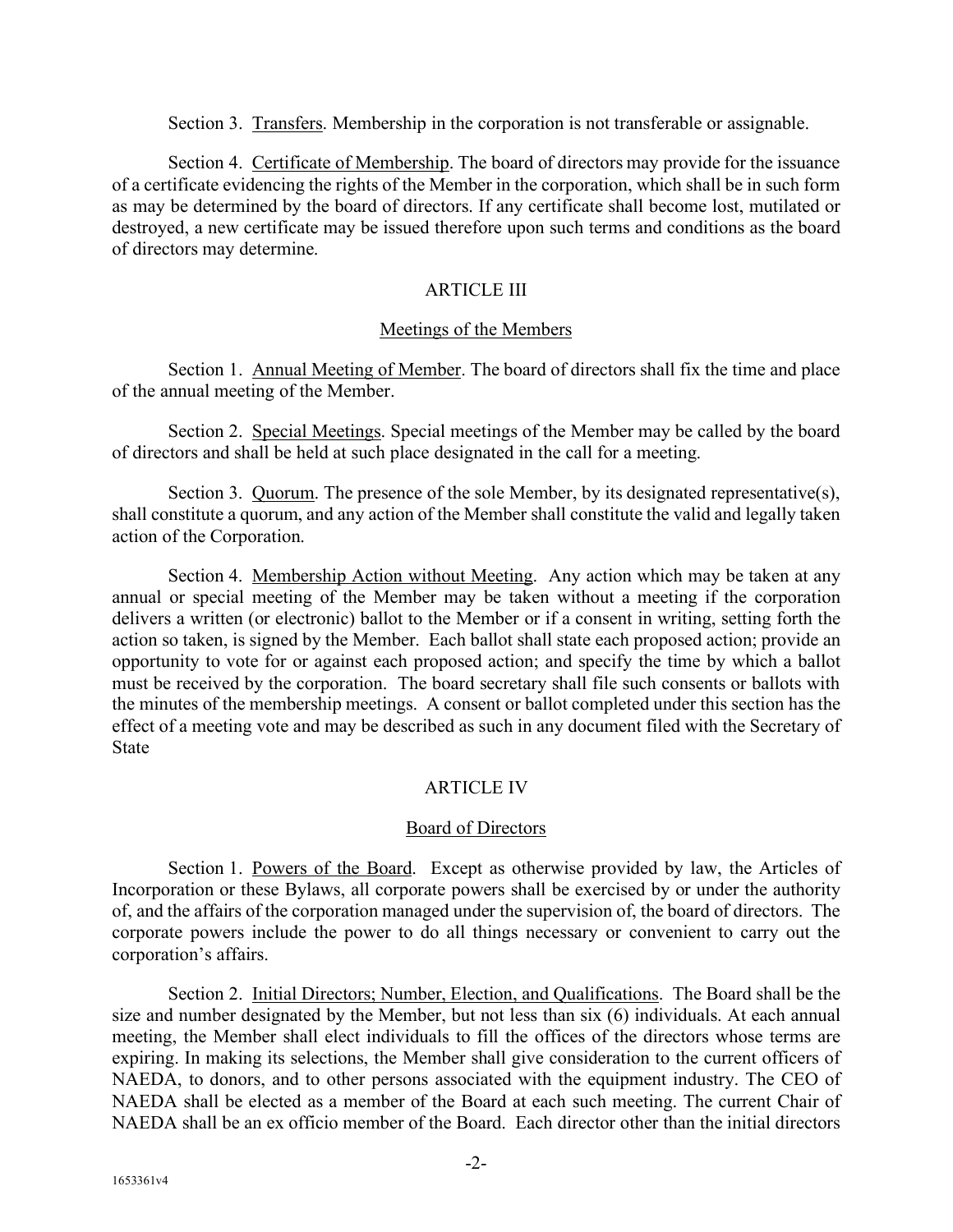Section 3. Transfers. Membership in the corporation is not transferable or assignable.

Section 4. Certificate of Membership. The board of directors may provide for the issuance of a certificate evidencing the rights of the Member in the corporation, which shall be in such form as may be determined by the board of directors. If any certificate shall become lost, mutilated or destroyed, a new certificate may be issued therefore upon such terms and conditions as the board of directors may determine.

## ARTICLE III

## Meetings of the Members

Section 1. Annual Meeting of Member. The board of directors shall fix the time and place of the annual meeting of the Member.

Section 2. Special Meetings. Special meetings of the Member may be called by the board of directors and shall be held at such place designated in the call for a meeting.

Section 3. Quorum. The presence of the sole Member, by its designated representative(s), shall constitute a quorum, and any action of the Member shall constitute the valid and legally taken action of the Corporation.

Section 4. Membership Action without Meeting. Any action which may be taken at any annual or special meeting of the Member may be taken without a meeting if the corporation delivers a written (or electronic) ballot to the Member or if a consent in writing, setting forth the action so taken, is signed by the Member. Each ballot shall state each proposed action; provide an opportunity to vote for or against each proposed action; and specify the time by which a ballot must be received by the corporation. The board secretary shall file such consents or ballots with the minutes of the membership meetings. A consent or ballot completed under this section has the effect of a meeting vote and may be described as such in any document filed with the Secretary of State

# ARTICLE IV

# Board of Directors

Section 1. Powers of the Board. Except as otherwise provided by law, the Articles of Incorporation or these Bylaws, all corporate powers shall be exercised by or under the authority of, and the affairs of the corporation managed under the supervision of, the board of directors. The corporate powers include the power to do all things necessary or convenient to carry out the corporation's affairs.

Section 2. Initial Directors; Number, Election, and Qualifications. The Board shall be the size and number designated by the Member, but not less than six (6) individuals. At each annual meeting, the Member shall elect individuals to fill the offices of the directors whose terms are expiring. In making its selections, the Member shall give consideration to the current officers of NAEDA, to donors, and to other persons associated with the equipment industry. The CEO of NAEDA shall be elected as a member of the Board at each such meeting. The current Chair of NAEDA shall be an ex officio member of the Board. Each director other than the initial directors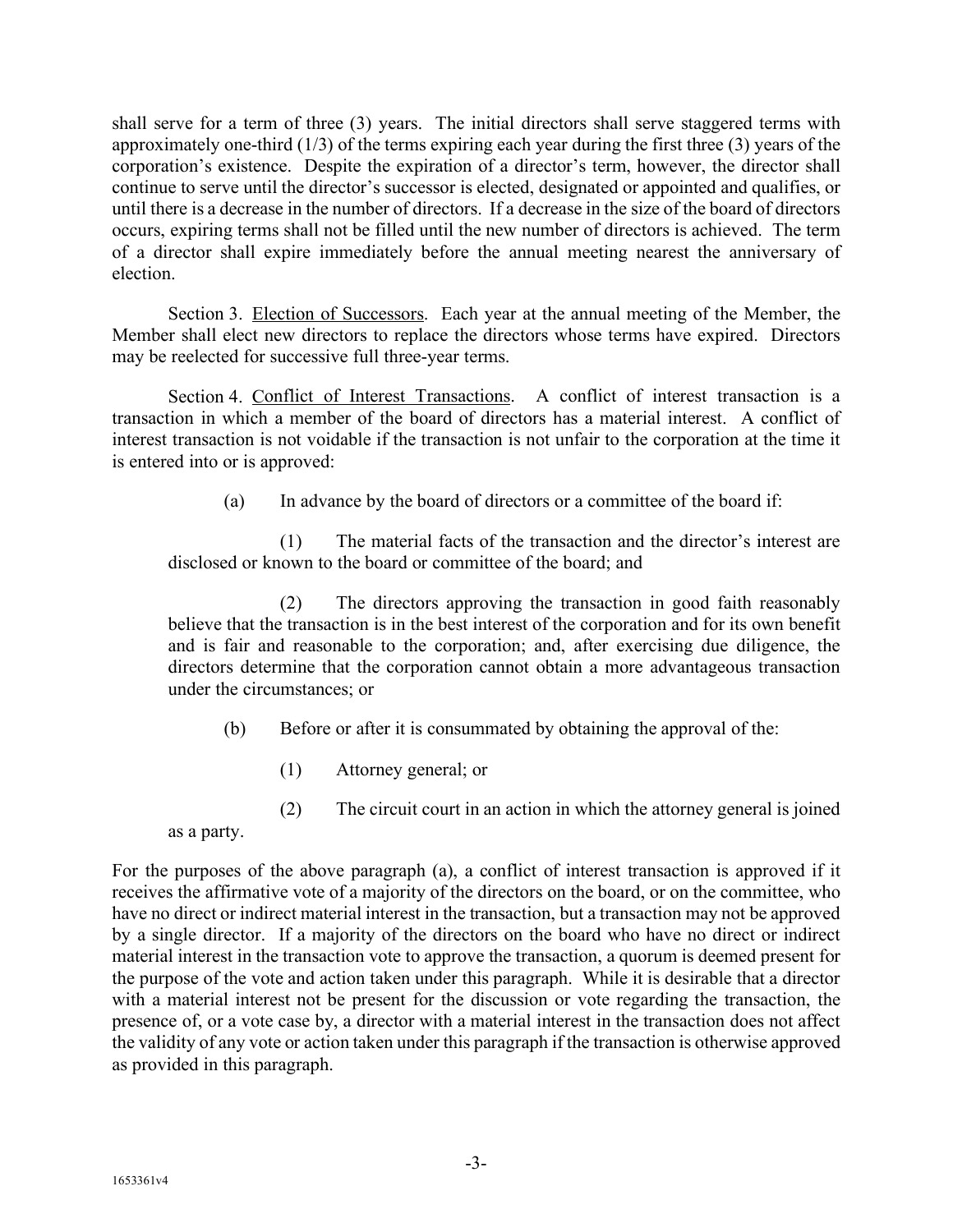shall serve for a term of three (3) years. The initial directors shall serve staggered terms with approximately one-third (1/3) of the terms expiring each year during the first three (3) years of the corporation's existence. Despite the expiration of a director's term, however, the director shall continue to serve until the director's successor is elected, designated or appointed and qualifies, or until there is a decrease in the number of directors. If a decrease in the size of the board of directors occurs, expiring terms shall not be filled until the new number of directors is achieved. The term of a director shall expire immediately before the annual meeting nearest the anniversary of election.

Section 3. Election of Successors. Each year at the annual meeting of the Member, the Member shall elect new directors to replace the directors whose terms have expired. Directors may be reelected for successive full three-year terms.

Section 4. Conflict of Interest Transactions. A conflict of interest transaction is a transaction in which a member of the board of directors has a material interest. A conflict of interest transaction is not voidable if the transaction is not unfair to the corporation at the time it is entered into or is approved:

(a) In advance by the board of directors or a committee of the board if:

(1) The material facts of the transaction and the director's interest are disclosed or known to the board or committee of the board; and

(2) The directors approving the transaction in good faith reasonably believe that the transaction is in the best interest of the corporation and for its own benefit and is fair and reasonable to the corporation; and, after exercising due diligence, the directors determine that the corporation cannot obtain a more advantageous transaction under the circumstances; or

- (b) Before or after it is consummated by obtaining the approval of the:
	- (1) Attorney general; or
	- (2) The circuit court in an action in which the attorney general is joined

as a party.

For the purposes of the above paragraph (a), a conflict of interest transaction is approved if it receives the affirmative vote of a majority of the directors on the board, or on the committee, who have no direct or indirect material interest in the transaction, but a transaction may not be approved by a single director. If a majority of the directors on the board who have no direct or indirect material interest in the transaction vote to approve the transaction, a quorum is deemed present for the purpose of the vote and action taken under this paragraph. While it is desirable that a director with a material interest not be present for the discussion or vote regarding the transaction, the presence of, or a vote case by, a director with a material interest in the transaction does not affect the validity of any vote or action taken under this paragraph if the transaction is otherwise approved as provided in this paragraph.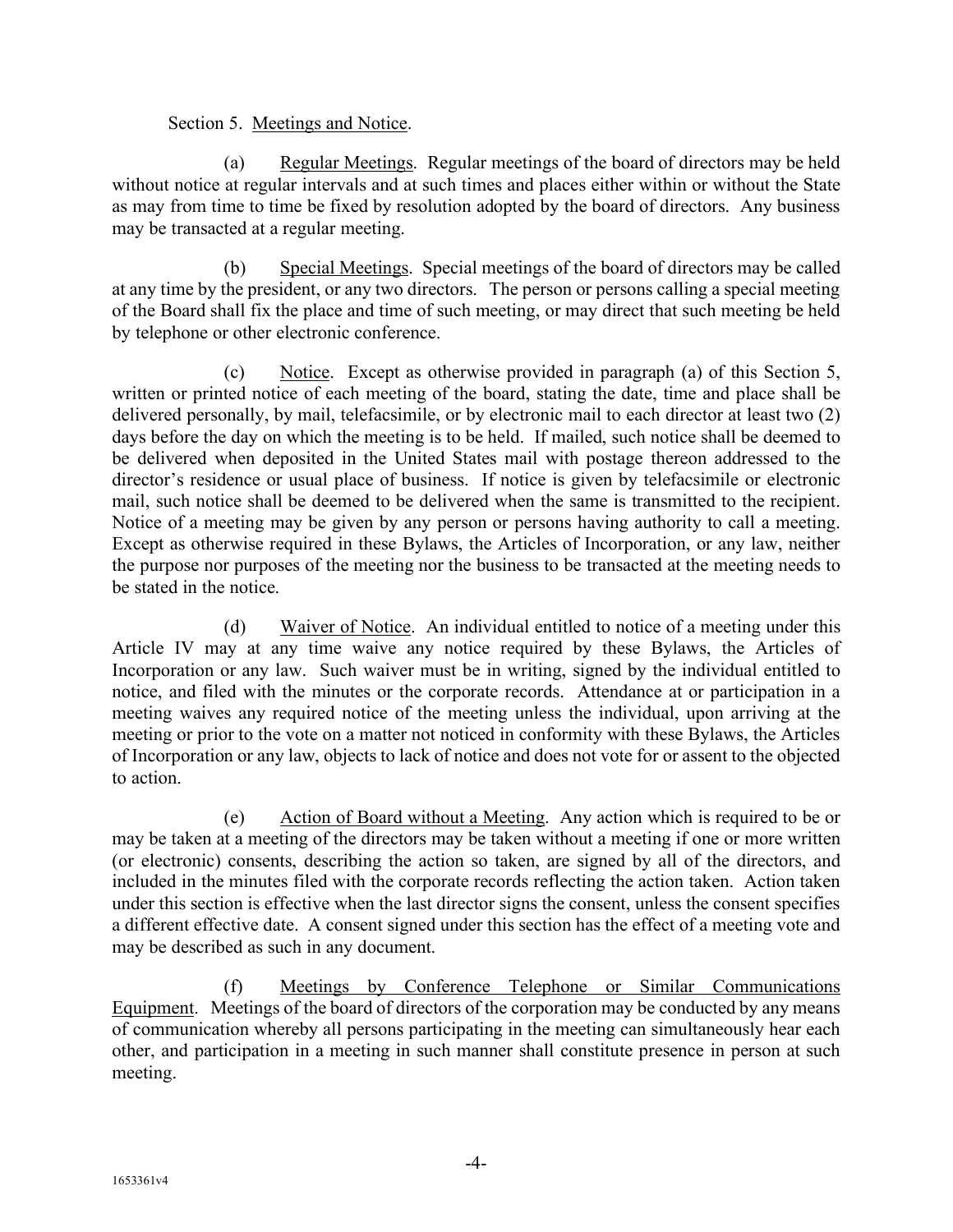## Section 5. Meetings and Notice.

(a) Regular Meetings. Regular meetings of the board of directors may be held without notice at regular intervals and at such times and places either within or without the State as may from time to time be fixed by resolution adopted by the board of directors. Any business may be transacted at a regular meeting.

(b) Special Meetings. Special meetings of the board of directors may be called at any time by the president, or any two directors. The person or persons calling a special meeting of the Board shall fix the place and time of such meeting, or may direct that such meeting be held by telephone or other electronic conference.

(c) Notice. Except as otherwise provided in paragraph (a) of this Section 5, written or printed notice of each meeting of the board, stating the date, time and place shall be delivered personally, by mail, telefacsimile, or by electronic mail to each director at least two (2) days before the day on which the meeting is to be held. If mailed, such notice shall be deemed to be delivered when deposited in the United States mail with postage thereon addressed to the director's residence or usual place of business. If notice is given by telefacsimile or electronic mail, such notice shall be deemed to be delivered when the same is transmitted to the recipient. Notice of a meeting may be given by any person or persons having authority to call a meeting. Except as otherwise required in these Bylaws, the Articles of Incorporation, or any law, neither the purpose nor purposes of the meeting nor the business to be transacted at the meeting needs to be stated in the notice.

(d) Waiver of Notice. An individual entitled to notice of a meeting under this Article IV may at any time waive any notice required by these Bylaws, the Articles of Incorporation or any law. Such waiver must be in writing, signed by the individual entitled to notice, and filed with the minutes or the corporate records. Attendance at or participation in a meeting waives any required notice of the meeting unless the individual, upon arriving at the meeting or prior to the vote on a matter not noticed in conformity with these Bylaws, the Articles of Incorporation or any law, objects to lack of notice and does not vote for or assent to the objected to action.

(e) Action of Board without a Meeting. Any action which is required to be or may be taken at a meeting of the directors may be taken without a meeting if one or more written (or electronic) consents, describing the action so taken, are signed by all of the directors, and included in the minutes filed with the corporate records reflecting the action taken. Action taken under this section is effective when the last director signs the consent, unless the consent specifies a different effective date. A consent signed under this section has the effect of a meeting vote and may be described as such in any document.

(f) Meetings by Conference Telephone or Similar Communications Equipment. Meetings of the board of directors of the corporation may be conducted by any means of communication whereby all persons participating in the meeting can simultaneously hear each other, and participation in a meeting in such manner shall constitute presence in person at such meeting.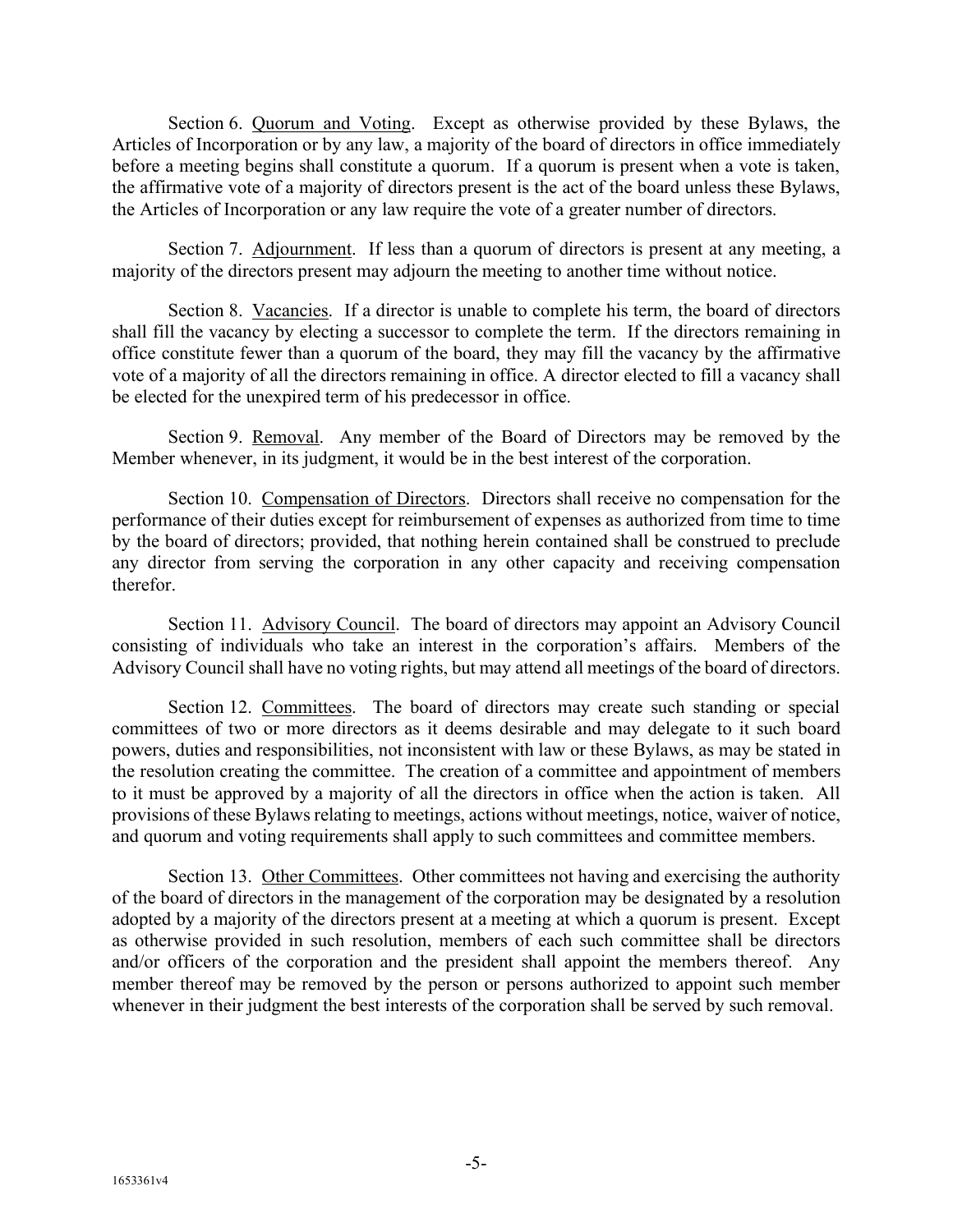Section 6. Quorum and Voting. Except as otherwise provided by these Bylaws, the Articles of Incorporation or by any law, a majority of the board of directors in office immediately before a meeting begins shall constitute a quorum. If a quorum is present when a vote is taken, the affirmative vote of a majority of directors present is the act of the board unless these Bylaws, the Articles of Incorporation or any law require the vote of a greater number of directors.

Section 7. Adjournment. If less than a quorum of directors is present at any meeting, a majority of the directors present may adjourn the meeting to another time without notice.

Section 8. Vacancies. If a director is unable to complete his term, the board of directors shall fill the vacancy by electing a successor to complete the term. If the directors remaining in office constitute fewer than a quorum of the board, they may fill the vacancy by the affirmative vote of a majority of all the directors remaining in office. A director elected to fill a vacancy shall be elected for the unexpired term of his predecessor in office.

Section 9. Removal. Any member of the Board of Directors may be removed by the Member whenever, in its judgment, it would be in the best interest of the corporation.

Section 10. Compensation of Directors. Directors shall receive no compensation for the performance of their duties except for reimbursement of expenses as authorized from time to time by the board of directors; provided, that nothing herein contained shall be construed to preclude any director from serving the corporation in any other capacity and receiving compensation therefor.

Section 11. Advisory Council. The board of directors may appoint an Advisory Council consisting of individuals who take an interest in the corporation's affairs. Members of the Advisory Council shall have no voting rights, but may attend all meetings of the board of directors.

Section 12. Committees. The board of directors may create such standing or special committees of two or more directors as it deems desirable and may delegate to it such board powers, duties and responsibilities, not inconsistent with law or these Bylaws, as may be stated in the resolution creating the committee. The creation of a committee and appointment of members to it must be approved by a majority of all the directors in office when the action is taken. All provisions of these Bylaws relating to meetings, actions without meetings, notice, waiver of notice, and quorum and voting requirements shall apply to such committees and committee members.

Section 13. Other Committees. Other committees not having and exercising the authority of the board of directors in the management of the corporation may be designated by a resolution adopted by a majority of the directors present at a meeting at which a quorum is present. Except as otherwise provided in such resolution, members of each such committee shall be directors and/or officers of the corporation and the president shall appoint the members thereof. Any member thereof may be removed by the person or persons authorized to appoint such member whenever in their judgment the best interests of the corporation shall be served by such removal.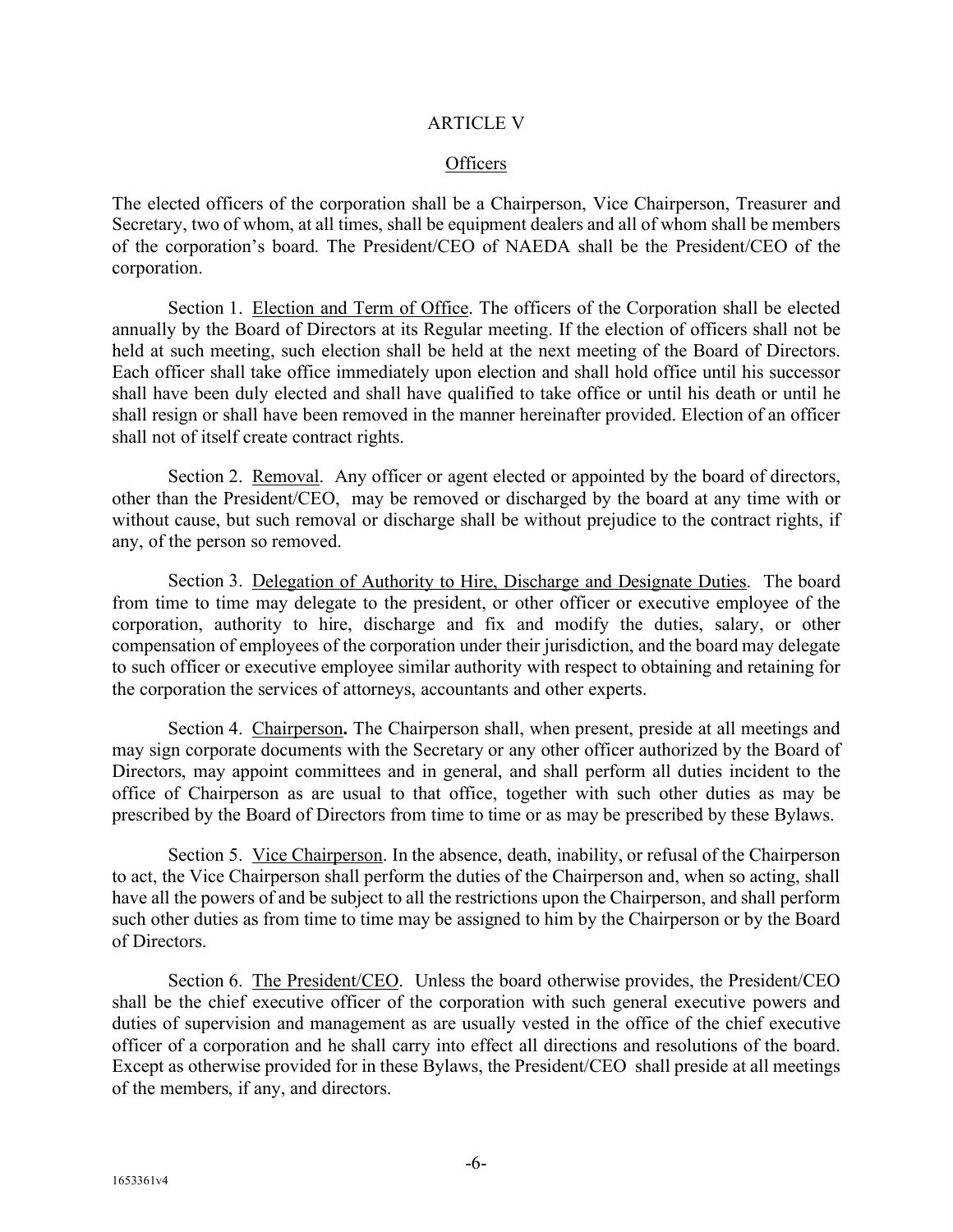### ARTICLE V

## **Officers**

The elected officers of the corporation shall be a Chairperson, Vice Chairperson, Treasurer and Secretary, two of whom, at all times, shall be equipment dealers and all of whom shall be members of the corporation's board. The President/CEO of NAEDA shall be the President/CEO of the corporation.

Section 1. Election and Term of Office. The officers of the Corporation shall be elected annually by the Board of Directors at its Regular meeting. If the election of officers shall not be held at such meeting, such election shall be held at the next meeting of the Board of Directors. Each officer shall take office immediately upon election and shall hold office until his successor shall have been duly elected and shall have qualified to take office or until his death or until he shall resign or shall have been removed in the manner hereinafter provided. Election of an officer shall not of itself create contract rights.

Section 2. Removal. Any officer or agent elected or appointed by the board of directors, other than the President/CEO, may be removed or discharged by the board at any time with or without cause, but such removal or discharge shall be without prejudice to the contract rights, if any, of the person so removed.

Section 3. Delegation of Authority to Hire, Discharge and Designate Duties. The board from time to time may delegate to the president, or other officer or executive employee of the corporation, authority to hire, discharge and fix and modify the duties, salary, or other compensation of employees of the corporation under their jurisdiction, and the board may delegate to such officer or executive employee similar authority with respect to obtaining and retaining for the corporation the services of attorneys, accountants and other experts.

Section 4. Chairperson**.** The Chairperson shall, when present, preside at all meetings and may sign corporate documents with the Secretary or any other officer authorized by the Board of Directors, may appoint committees and in general, and shall perform all duties incident to the office of Chairperson as are usual to that office, together with such other duties as may be prescribed by the Board of Directors from time to time or as may be prescribed by these Bylaws.

Section 5. Vice Chairperson. In the absence, death, inability, or refusal of the Chairperson to act, the Vice Chairperson shall perform the duties of the Chairperson and, when so acting, shall have all the powers of and be subject to all the restrictions upon the Chairperson, and shall perform such other duties as from time to time may be assigned to him by the Chairperson or by the Board of Directors.

Section 6. The President/CEO. Unless the board otherwise provides, the President/CEO shall be the chief executive officer of the corporation with such general executive powers and duties of supervision and management as are usually vested in the office of the chief executive officer of a corporation and he shall carry into effect all directions and resolutions of the board. Except as otherwise provided for in these Bylaws, the President/CEO shall preside at all meetings of the members, if any, and directors.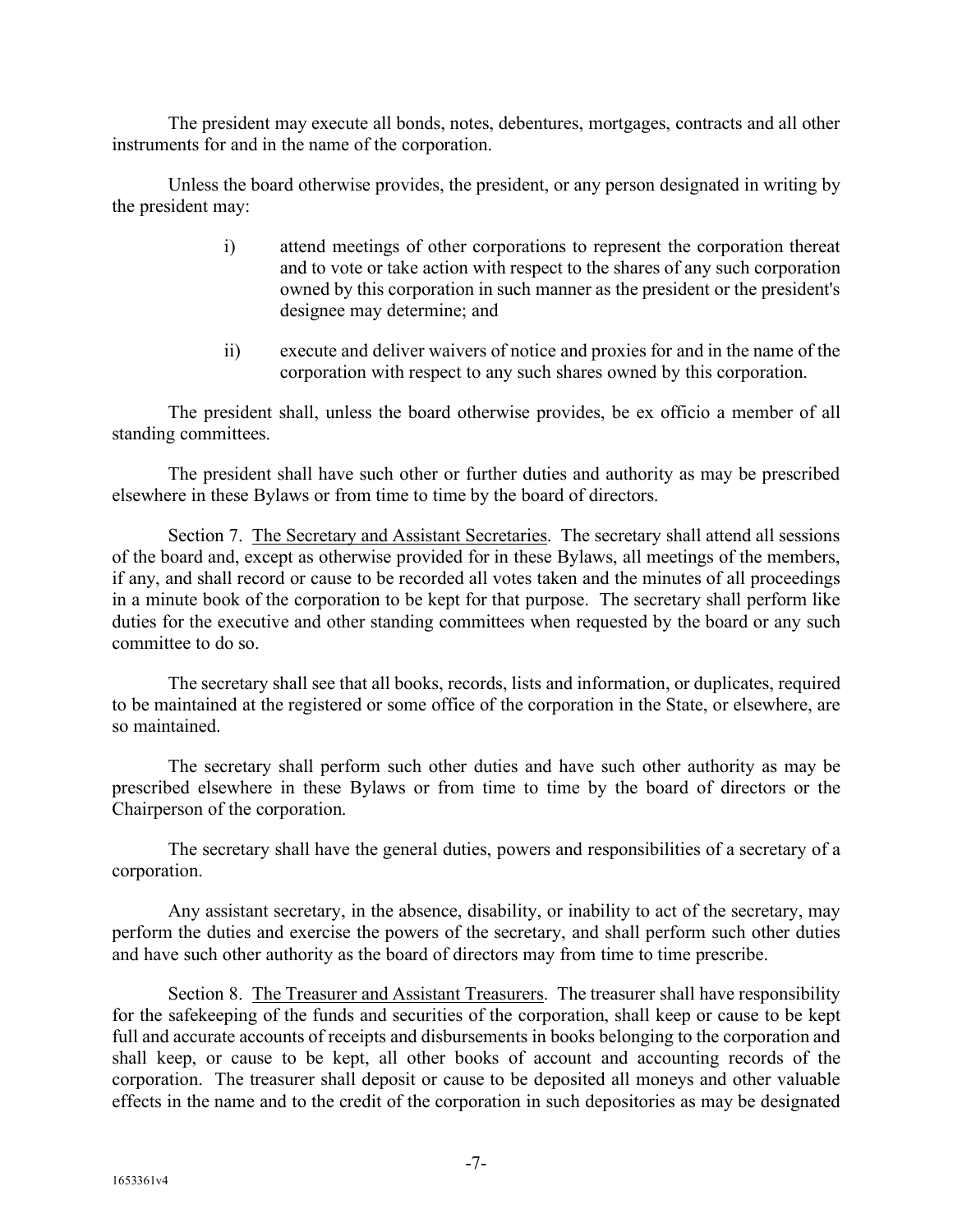The president may execute all bonds, notes, debentures, mortgages, contracts and all other instruments for and in the name of the corporation.

Unless the board otherwise provides, the president, or any person designated in writing by the president may:

- i) attend meetings of other corporations to represent the corporation thereat and to vote or take action with respect to the shares of any such corporation owned by this corporation in such manner as the president or the president's designee may determine; and
- ii) execute and deliver waivers of notice and proxies for and in the name of the corporation with respect to any such shares owned by this corporation.

The president shall, unless the board otherwise provides, be ex officio a member of all standing committees.

The president shall have such other or further duties and authority as may be prescribed elsewhere in these Bylaws or from time to time by the board of directors.

Section 7. The Secretary and Assistant Secretaries. The secretary shall attend all sessions of the board and, except as otherwise provided for in these Bylaws, all meetings of the members, if any, and shall record or cause to be recorded all votes taken and the minutes of all proceedings in a minute book of the corporation to be kept for that purpose. The secretary shall perform like duties for the executive and other standing committees when requested by the board or any such committee to do so.

The secretary shall see that all books, records, lists and information, or duplicates, required to be maintained at the registered or some office of the corporation in the State, or elsewhere, are so maintained.

The secretary shall perform such other duties and have such other authority as may be prescribed elsewhere in these Bylaws or from time to time by the board of directors or the Chairperson of the corporation.

The secretary shall have the general duties, powers and responsibilities of a secretary of a corporation.

Any assistant secretary, in the absence, disability, or inability to act of the secretary, may perform the duties and exercise the powers of the secretary, and shall perform such other duties and have such other authority as the board of directors may from time to time prescribe.

Section 8. The Treasurer and Assistant Treasurers. The treasurer shall have responsibility for the safekeeping of the funds and securities of the corporation, shall keep or cause to be kept full and accurate accounts of receipts and disbursements in books belonging to the corporation and shall keep, or cause to be kept, all other books of account and accounting records of the corporation. The treasurer shall deposit or cause to be deposited all moneys and other valuable effects in the name and to the credit of the corporation in such depositories as may be designated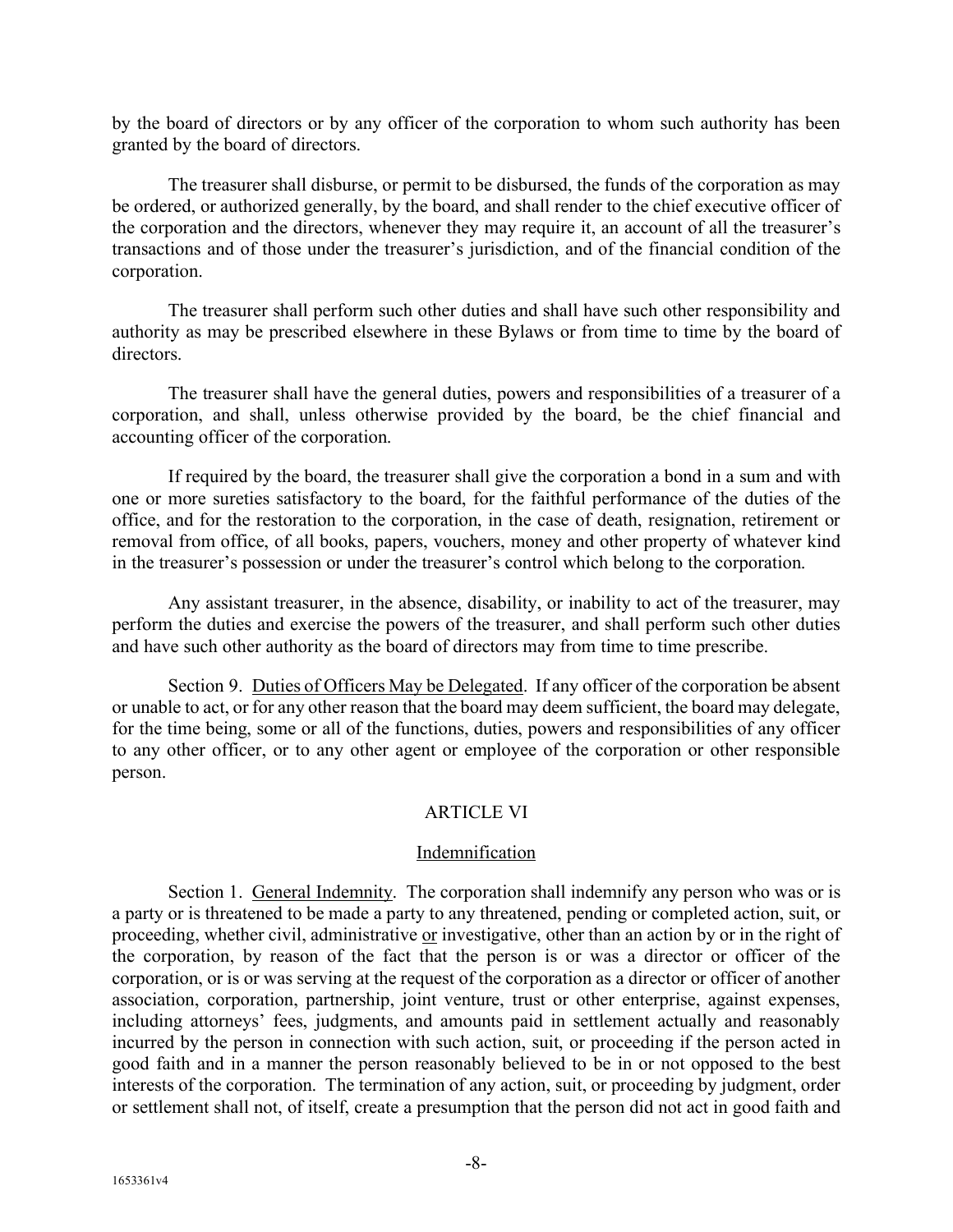by the board of directors or by any officer of the corporation to whom such authority has been granted by the board of directors.

The treasurer shall disburse, or permit to be disbursed, the funds of the corporation as may be ordered, or authorized generally, by the board, and shall render to the chief executive officer of the corporation and the directors, whenever they may require it, an account of all the treasurer's transactions and of those under the treasurer's jurisdiction, and of the financial condition of the corporation.

The treasurer shall perform such other duties and shall have such other responsibility and authority as may be prescribed elsewhere in these Bylaws or from time to time by the board of directors.

The treasurer shall have the general duties, powers and responsibilities of a treasurer of a corporation, and shall, unless otherwise provided by the board, be the chief financial and accounting officer of the corporation.

If required by the board, the treasurer shall give the corporation a bond in a sum and with one or more sureties satisfactory to the board, for the faithful performance of the duties of the office, and for the restoration to the corporation, in the case of death, resignation, retirement or removal from office, of all books, papers, vouchers, money and other property of whatever kind in the treasurer's possession or under the treasurer's control which belong to the corporation.

Any assistant treasurer, in the absence, disability, or inability to act of the treasurer, may perform the duties and exercise the powers of the treasurer, and shall perform such other duties and have such other authority as the board of directors may from time to time prescribe.

Section 9. Duties of Officers May be Delegated. If any officer of the corporation be absent or unable to act, or for any other reason that the board may deem sufficient, the board may delegate, for the time being, some or all of the functions, duties, powers and responsibilities of any officer to any other officer, or to any other agent or employee of the corporation or other responsible person.

# ARTICLE VI

## Indemnification

Section 1. General Indemnity. The corporation shall indemnify any person who was or is a party or is threatened to be made a party to any threatened, pending or completed action, suit, or proceeding, whether civil, administrative or investigative, other than an action by or in the right of the corporation, by reason of the fact that the person is or was a director or officer of the corporation, or is or was serving at the request of the corporation as a director or officer of another association, corporation, partnership, joint venture, trust or other enterprise, against expenses, including attorneys' fees, judgments, and amounts paid in settlement actually and reasonably incurred by the person in connection with such action, suit, or proceeding if the person acted in good faith and in a manner the person reasonably believed to be in or not opposed to the best interests of the corporation. The termination of any action, suit, or proceeding by judgment, order or settlement shall not, of itself, create a presumption that the person did not act in good faith and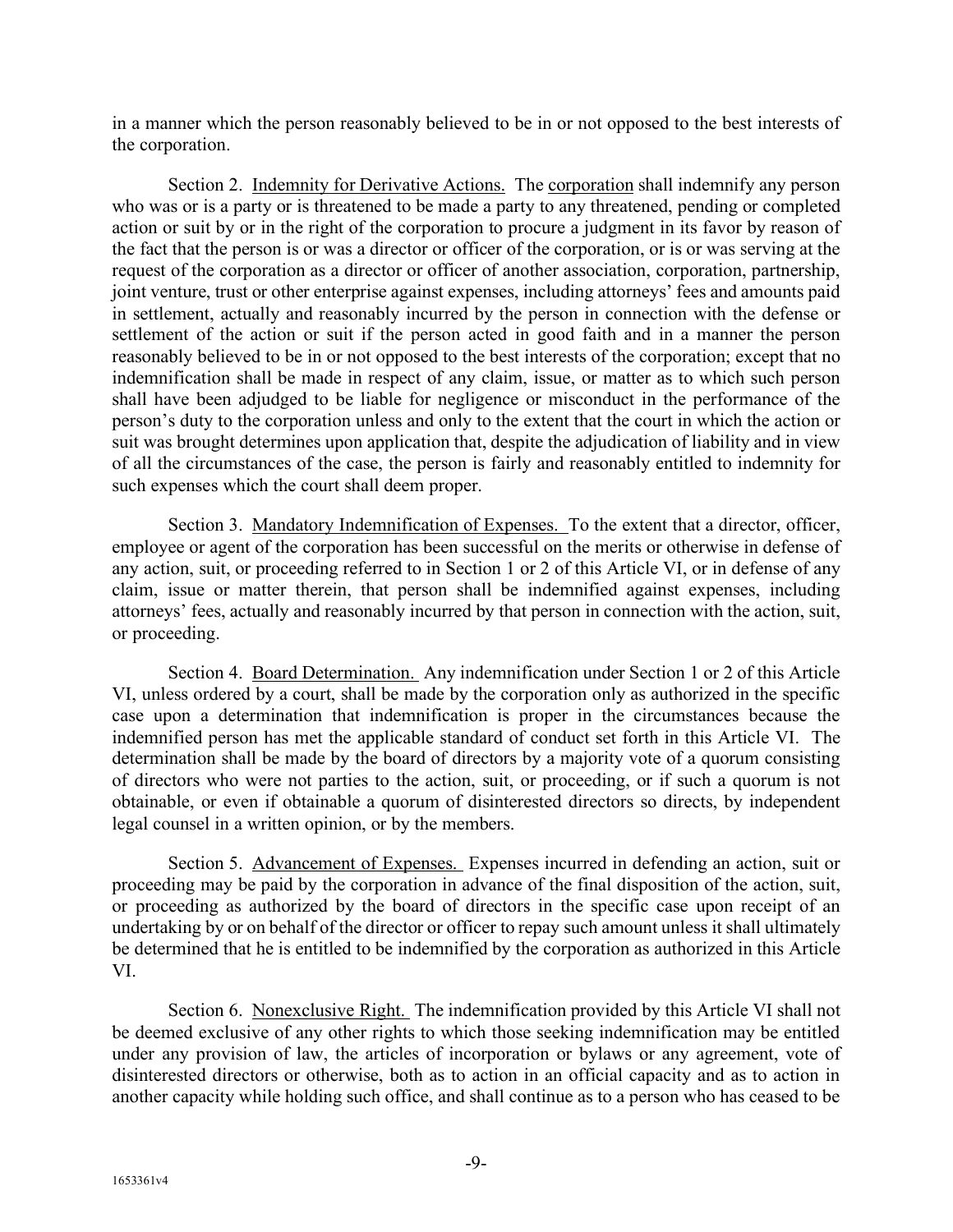in a manner which the person reasonably believed to be in or not opposed to the best interests of the corporation.

Section 2. Indemnity for Derivative Actions. The corporation shall indemnify any person who was or is a party or is threatened to be made a party to any threatened, pending or completed action or suit by or in the right of the corporation to procure a judgment in its favor by reason of the fact that the person is or was a director or officer of the corporation, or is or was serving at the request of the corporation as a director or officer of another association, corporation, partnership, joint venture, trust or other enterprise against expenses, including attorneys' fees and amounts paid in settlement, actually and reasonably incurred by the person in connection with the defense or settlement of the action or suit if the person acted in good faith and in a manner the person reasonably believed to be in or not opposed to the best interests of the corporation; except that no indemnification shall be made in respect of any claim, issue, or matter as to which such person shall have been adjudged to be liable for negligence or misconduct in the performance of the person's duty to the corporation unless and only to the extent that the court in which the action or suit was brought determines upon application that, despite the adjudication of liability and in view of all the circumstances of the case, the person is fairly and reasonably entitled to indemnity for such expenses which the court shall deem proper.

Section 3. Mandatory Indemnification of Expenses. To the extent that a director, officer, employee or agent of the corporation has been successful on the merits or otherwise in defense of any action, suit, or proceeding referred to in Section 1 or 2 of this Article VI, or in defense of any claim, issue or matter therein, that person shall be indemnified against expenses, including attorneys' fees, actually and reasonably incurred by that person in connection with the action, suit, or proceeding.

Section 4. Board Determination. Any indemnification under Section 1 or 2 of this Article VI, unless ordered by a court, shall be made by the corporation only as authorized in the specific case upon a determination that indemnification is proper in the circumstances because the indemnified person has met the applicable standard of conduct set forth in this Article VI. The determination shall be made by the board of directors by a majority vote of a quorum consisting of directors who were not parties to the action, suit, or proceeding, or if such a quorum is not obtainable, or even if obtainable a quorum of disinterested directors so directs, by independent legal counsel in a written opinion, or by the members.

Section 5. Advancement of Expenses. Expenses incurred in defending an action, suit or proceeding may be paid by the corporation in advance of the final disposition of the action, suit, or proceeding as authorized by the board of directors in the specific case upon receipt of an undertaking by or on behalf of the director or officer to repay such amount unless it shall ultimately be determined that he is entitled to be indemnified by the corporation as authorized in this Article VI.

Section 6. Nonexclusive Right. The indemnification provided by this Article VI shall not be deemed exclusive of any other rights to which those seeking indemnification may be entitled under any provision of law, the articles of incorporation or bylaws or any agreement, vote of disinterested directors or otherwise, both as to action in an official capacity and as to action in another capacity while holding such office, and shall continue as to a person who has ceased to be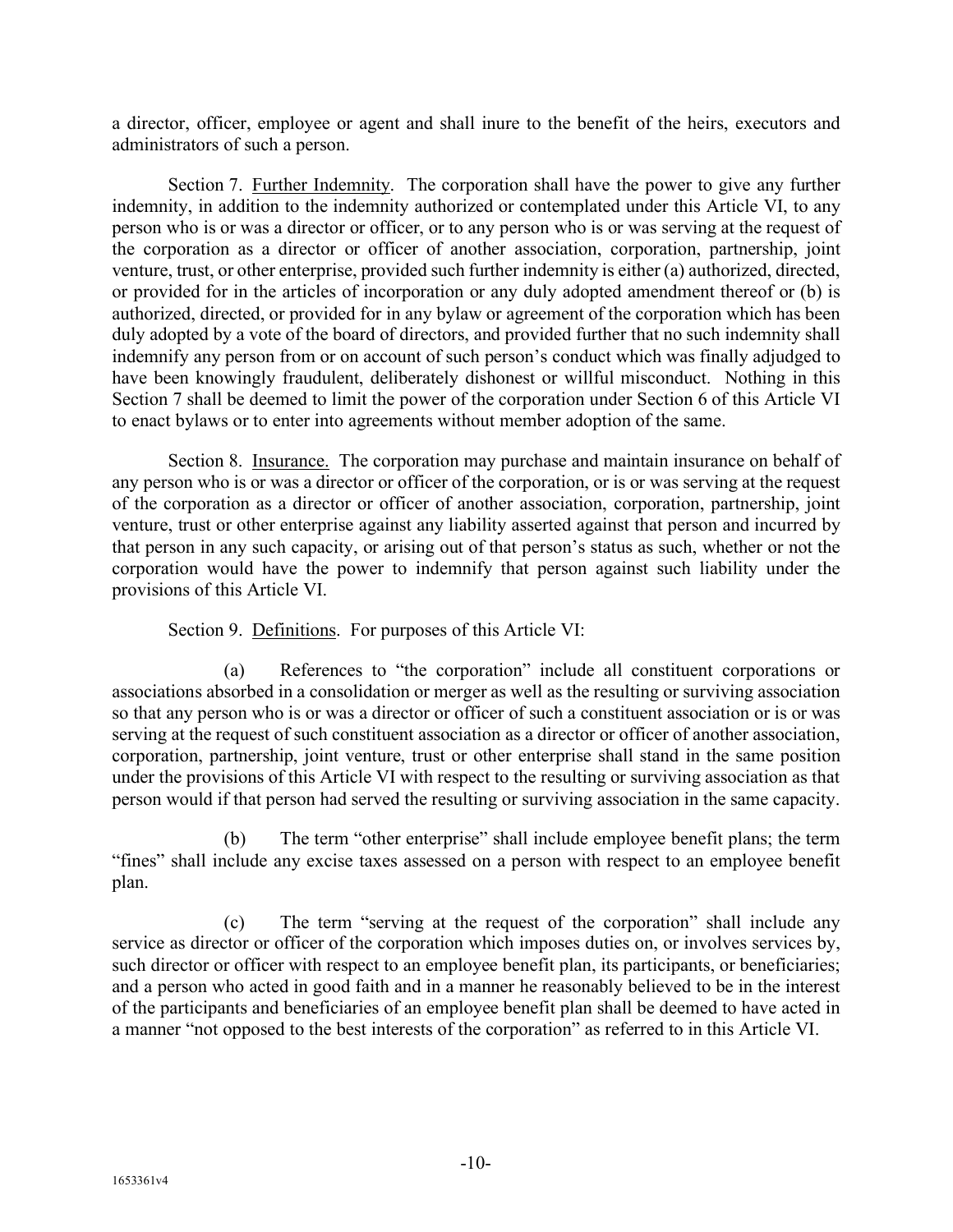a director, officer, employee or agent and shall inure to the benefit of the heirs, executors and administrators of such a person.

Section 7. Further Indemnity. The corporation shall have the power to give any further indemnity, in addition to the indemnity authorized or contemplated under this Article VI, to any person who is or was a director or officer, or to any person who is or was serving at the request of the corporation as a director or officer of another association, corporation, partnership, joint venture, trust, or other enterprise, provided such further indemnity is either (a) authorized, directed, or provided for in the articles of incorporation or any duly adopted amendment thereof or (b) is authorized, directed, or provided for in any bylaw or agreement of the corporation which has been duly adopted by a vote of the board of directors, and provided further that no such indemnity shall indemnify any person from or on account of such person's conduct which was finally adjudged to have been knowingly fraudulent, deliberately dishonest or willful misconduct. Nothing in this Section 7 shall be deemed to limit the power of the corporation under Section 6 of this Article VI to enact bylaws or to enter into agreements without member adoption of the same.

Section 8. Insurance. The corporation may purchase and maintain insurance on behalf of any person who is or was a director or officer of the corporation, or is or was serving at the request of the corporation as a director or officer of another association, corporation, partnership, joint venture, trust or other enterprise against any liability asserted against that person and incurred by that person in any such capacity, or arising out of that person's status as such, whether or not the corporation would have the power to indemnify that person against such liability under the provisions of this Article VI.

# Section 9. Definitions. For purposes of this Article VI:

(a) References to "the corporation" include all constituent corporations or associations absorbed in a consolidation or merger as well as the resulting or surviving association so that any person who is or was a director or officer of such a constituent association or is or was serving at the request of such constituent association as a director or officer of another association, corporation, partnership, joint venture, trust or other enterprise shall stand in the same position under the provisions of this Article VI with respect to the resulting or surviving association as that person would if that person had served the resulting or surviving association in the same capacity.

(b) The term "other enterprise" shall include employee benefit plans; the term "fines" shall include any excise taxes assessed on a person with respect to an employee benefit plan.

(c) The term "serving at the request of the corporation" shall include any service as director or officer of the corporation which imposes duties on, or involves services by, such director or officer with respect to an employee benefit plan, its participants, or beneficiaries; and a person who acted in good faith and in a manner he reasonably believed to be in the interest of the participants and beneficiaries of an employee benefit plan shall be deemed to have acted in a manner "not opposed to the best interests of the corporation" as referred to in this Article VI.